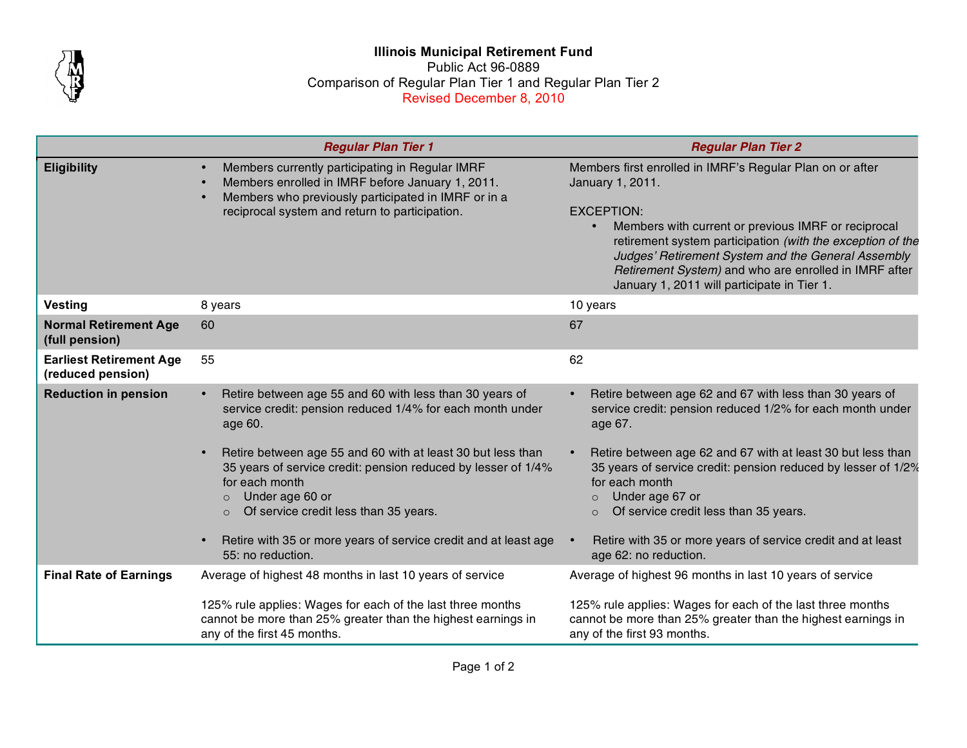

## **Illinois Municipal Retirement Fund** Public Act 96-0889 Comparison of Regular Plan Tier 1 and Regular Plan Tier 2 Revised December 8, 2010

|                                                     | <b>Regular Plan Tier 1</b>                                                                                                                                                                                                                                                        | <b>Regular Plan Tier 2</b>                                                                                                                                                                                                                                                                                                                                                            |
|-----------------------------------------------------|-----------------------------------------------------------------------------------------------------------------------------------------------------------------------------------------------------------------------------------------------------------------------------------|---------------------------------------------------------------------------------------------------------------------------------------------------------------------------------------------------------------------------------------------------------------------------------------------------------------------------------------------------------------------------------------|
| <b>Eligibility</b>                                  | Members currently participating in Regular IMRF<br>Members enrolled in IMRF before January 1, 2011.<br>Members who previously participated in IMRF or in a<br>reciprocal system and return to participation.                                                                      | Members first enrolled in IMRF's Regular Plan on or after<br>January 1, 2011.<br><b>EXCEPTION:</b><br>Members with current or previous IMRF or reciprocal<br>retirement system participation (with the exception of the<br>Judges' Retirement System and the General Assembly<br>Retirement System) and who are enrolled in IMRF after<br>January 1, 2011 will participate in Tier 1. |
| <b>Vesting</b>                                      | 8 years                                                                                                                                                                                                                                                                           | 10 years                                                                                                                                                                                                                                                                                                                                                                              |
| <b>Normal Retirement Age</b><br>(full pension)      | 60                                                                                                                                                                                                                                                                                | 67                                                                                                                                                                                                                                                                                                                                                                                    |
| <b>Earliest Retirement Age</b><br>(reduced pension) | 55                                                                                                                                                                                                                                                                                | 62                                                                                                                                                                                                                                                                                                                                                                                    |
| <b>Reduction in pension</b>                         | Retire between age 55 and 60 with less than 30 years of<br>service credit: pension reduced 1/4% for each month under<br>age 60.<br>Retire between age 55 and 60 with at least 30 but less than<br>35 years of service credit: pension reduced by lesser of 1/4%<br>for each month | Retire between age 62 and 67 with less than 30 years of<br>service credit: pension reduced 1/2% for each month under<br>age 67.<br>Retire between age 62 and 67 with at least 30 but less than<br>35 years of service credit: pension reduced by lesser of 1/2%<br>for each month                                                                                                     |
|                                                     | Under age 60 or<br>$\circ$<br>Of service credit less than 35 years.<br>$\circ$                                                                                                                                                                                                    | Under age 67 or<br>$\circ$<br>Of service credit less than 35 years.<br>$\circ$                                                                                                                                                                                                                                                                                                        |
|                                                     | Retire with 35 or more years of service credit and at least age<br>55: no reduction.                                                                                                                                                                                              | Retire with 35 or more years of service credit and at least<br>age 62: no reduction.                                                                                                                                                                                                                                                                                                  |
| <b>Final Rate of Earnings</b>                       | Average of highest 48 months in last 10 years of service                                                                                                                                                                                                                          | Average of highest 96 months in last 10 years of service                                                                                                                                                                                                                                                                                                                              |
|                                                     | 125% rule applies: Wages for each of the last three months<br>cannot be more than 25% greater than the highest earnings in<br>any of the first 45 months.                                                                                                                         | 125% rule applies: Wages for each of the last three months<br>cannot be more than 25% greater than the highest earnings in<br>any of the first 93 months.                                                                                                                                                                                                                             |